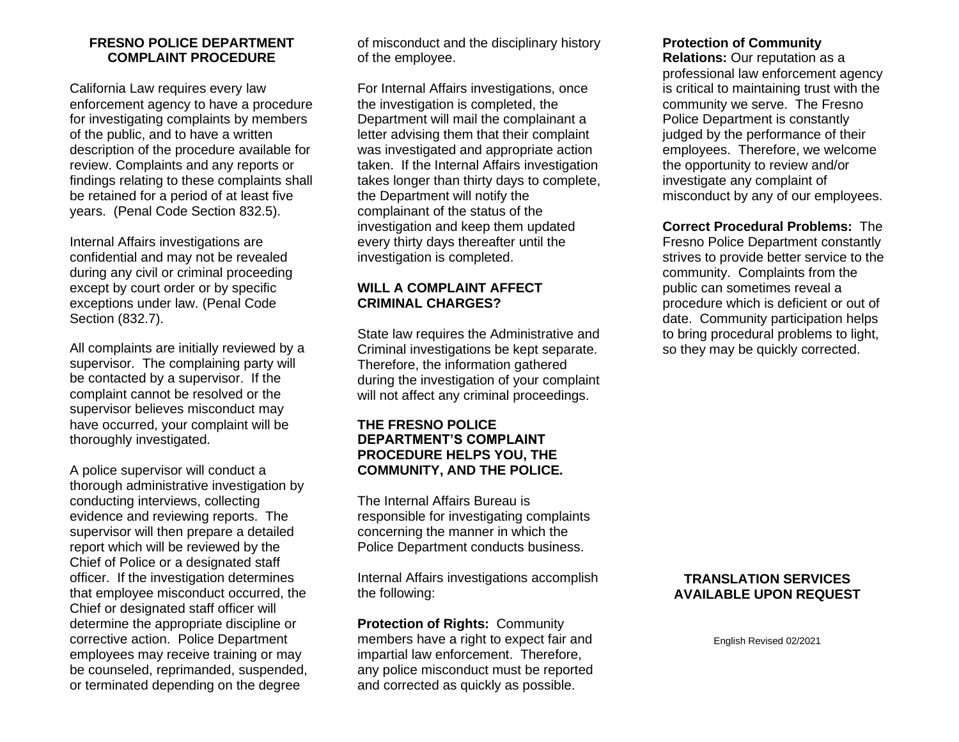## **FRESNO POLICE DEPARTMENT COMPLAINT PROCEDURE**

California Law requires every law enforcement agency to have a procedure for investigating complaints by members of the public, and to have a written description of the procedure available for review. Complaints and any reports or findings relating to these complaints shall be retained for a period of at least five years. (Penal Code Section 832.5).

Internal Affairs investigations are confidential and may not be revealed during any civil or criminal proceeding except by court order or by specific exceptions under law. (Penal Code Section (832.7).

All complaints are initially reviewed by a supervisor. The complaining party will be contacted by a supervisor. If the complaint cannot be resolved or the supervisor believes misconduct may have occurred, your complaint will be thoroughly investigated.

A police supervisor will conduct a thorough administrative investigation by conducting interviews, collecting evidence and reviewing reports. The supervisor will then prepare a detailed report which will be reviewed by the Chief of Police or a designated staff officer. If the investigation determines that employee misconduct occurred, the Chief or designated staff officer will determine the appropriate discipline or corrective action. Police Department employees may receive training or may be counseled, reprimanded, suspended, or terminated depending on the degree

of misconduct and the disciplinary history of the employee.

For Internal Affairs investigations, once the investigation is completed, the Department will mail the complainant a letter advising them that their complaint was investigated and appropriate action taken. If the Internal Affairs investigation takes longer than thirty days to complete, the Department will notify the complainant of the status of the investigation and keep them updated every thirty days thereafter until the investigation is completed.

# **WILL A COMPLAINT AFFECT CRIMINAL CHARGES?**

State law requires the Administrative and Criminal investigations be kept separate. Therefore, the information gathered during the investigation of your complaint will not affect any criminal proceedings.

# **THE FRESNO POLICE DEPARTMENT'S COMPLAINT PROCEDURE HELPS YOU, THE COMMUNITY, AND THE POLICE.**

The Internal Affairs Bureau is responsible for investigating complaints concerning the manner in which the Police Department conducts business.

Internal Affairs investigations accomplish the following:

**Protection of Rights:** Community members have a right to expect fair and impartial law enforcement. Therefore, any police misconduct must be reported and corrected as quickly as possible.

# **Protection of Community**

**Relations:** Our reputation as a professional law enforcement agency is critical to maintaining trust with the community we serve. The Fresno Police Department is constantly judged by the performance of their employees. Therefore, we welcome the opportunity to review and/or investigate any complaint of misconduct by any of our employees.

**Correct Procedural Problems:** The Fresno Police Department constantly strives to provide better service to the community. Complaints from the public can sometimes reveal a procedure which is deficient or out of date. Community participation helps to bring procedural problems to light, so they may be quickly corrected.

## **TRANSLATION SERVICES AVAILABLE UPON REQUEST**

English Revised 02/2021